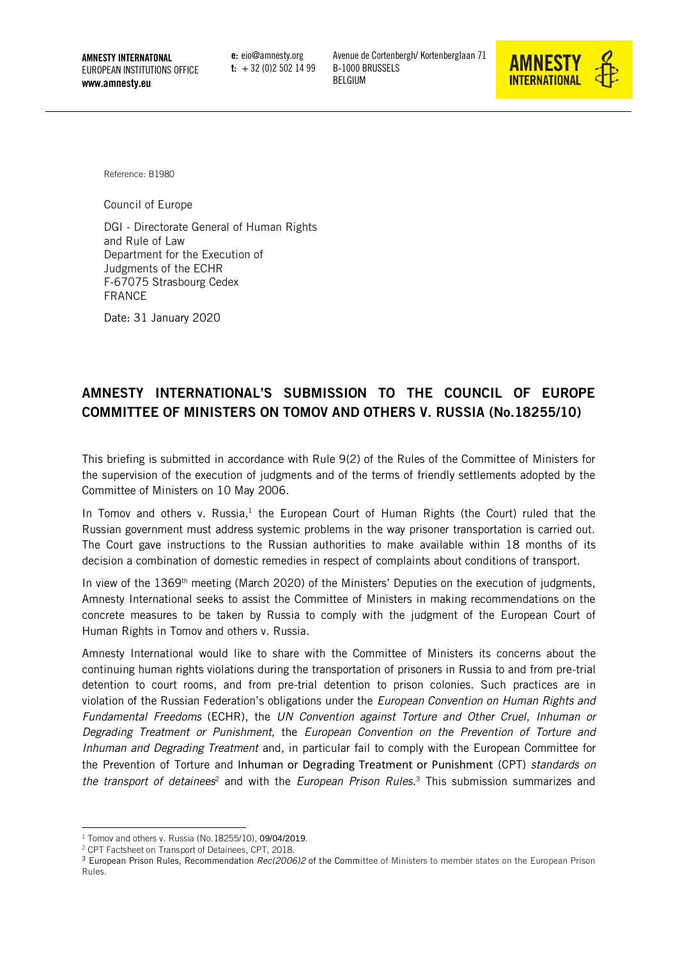AMNESTY INTERNATONAL EUROPEAN INSTITUTIONS OFFICE www.amnesty.eu

e: eio@amnesty.org  $t: +32(0)25021499$  Avenue de Cortenbergh/ Kortenberglaan 71 B-1000 BRUSSELS BELGIUM



Reference: B1980

Council of Europe

DGI - Directorate General of Human Rights and Rule of Law Department for the Execution of Judgments of the ECHR F-67075 Strasbourg Cedex FRANCE

Date: 31 January 2020

# AMNESTY INTERNATIONAL'S SUBMISSION TO THE COUNCIL OF EUROPE COMMITTEE OF MINISTERS ON TOMOV AND OTHERS V. RUSSIA (No.18255/10)

This briefing is submitted in accordance with Rule 9(2) of the Rules of the Committee of Ministers for the supervision of the execution of judgments and of the terms of friendly settlements adopted by the Committee of Ministers on 10 May 2006.

In Tomov and others v. Russia, $<sup>1</sup>$  the European Court of Human Rights (the Court) ruled that the</sup> Russian government must address systemic problems in the way prisoner transportation is carried out. The Court gave instructions to the Russian authorities to make available within 18 months of its decision a combination of domestic remedies in respect of complaints about conditions of transport.

In view of the 1369<sup>th</sup> meeting (March 2020) of the Ministers' Deputies on the execution of judgments, Amnesty International seeks to assist the Committee of Ministers in making recommendations on the concrete measures to be taken by Russia to comply with the judgment of the European Court of Human Rights in Tomov and others v. Russia.

Amnesty International would like to share with the Committee of Ministers its concerns about the continuing human rights violations during the transportation of prisoners in Russia to and from pre-trial detention to court rooms, and from pre-trial detention to prison colonies. Such practices are in violation of the Russian Federation's obligations under the *European Convention on Human Rights and Fundamental Freedoms* (ECHR), the *UN Convention against Torture and Other Cruel, Inhuman or Degrading Treatment or Punishment*, the *European Convention on the Prevention of Torture and Inhuman and Degrading Treatment* and, in particular fail to comply with the European Committee for the Prevention of Torture and Inhuman or Degrading Treatment or Punishment (CPT) *standards on the transport of detainees*<sup>2</sup> and with the *European Prison Rules.*<sup>3</sup> This submission summarizes and

-

<sup>&</sup>lt;sup>1</sup> [Tomov and others v. Russia](https://hudoc.echr.coe.int/eng#{"fulltext":["/) (No.18255/10), 09/04/2019.

<sup>2</sup> CPT Factsheet on [Transport of Detainees,](https://www.coe.int/en/web/cpt/transport-detainees) CPT, 2018.

<sup>3</sup> European Prison Rules, Recommendation *[Rec\(2006\)2](https://search.coe.int/cm/Pages/result_details.aspx?Reference=Rec(2006)2)* of the Committee of Ministers to member states on the European Prison Rules.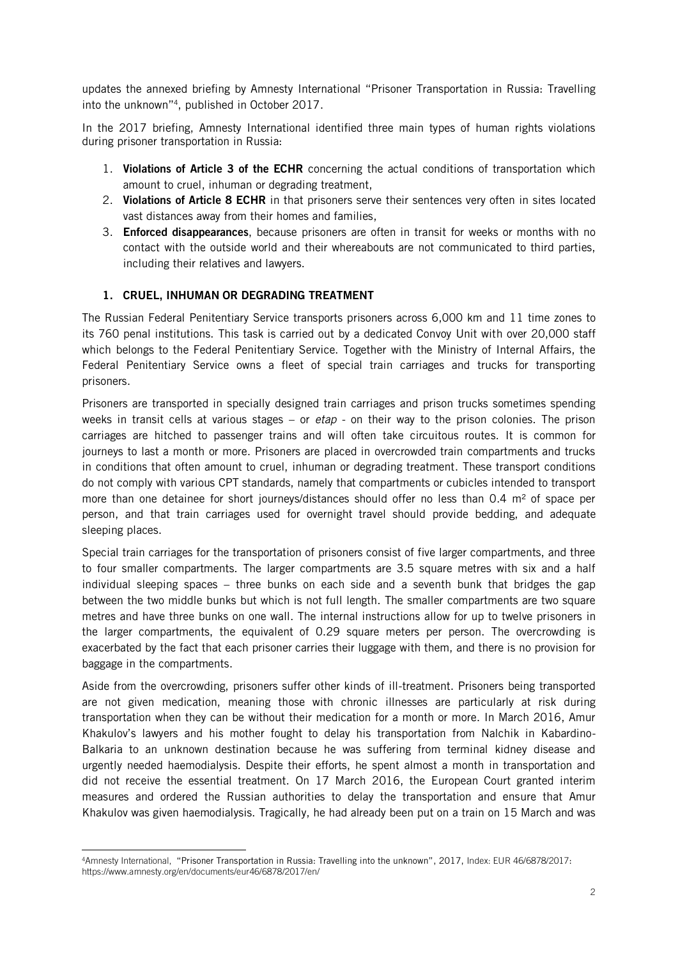updates the annexed briefing by Amnesty International "Prisoner Transportation in Russia: Travelling into the unknown"<sup>4</sup> , published in October 2017.

In the 2017 briefing, Amnesty International identified three main types of human rights violations during prisoner transportation in Russia:

- 1. Violations of Article 3 of the ECHR concerning the actual conditions of transportation which amount to cruel, inhuman or degrading treatment,
- 2. Violations of Article 8 ECHR in that prisoners serve their sentences very often in sites located vast distances away from their homes and families,
- 3. **Enforced disappearances**, because prisoners are often in transit for weeks or months with no contact with the outside world and their whereabouts are not communicated to third parties, including their relatives and lawyers.

## 1. CRUEL, INHUMAN OR DEGRADING TREATMENT

The Russian Federal Penitentiary Service transports prisoners across 6,000 km and 11 time zones to its 760 penal institutions. This task is carried out by a dedicated Convoy Unit with over 20,000 staff which belongs to the Federal Penitentiary Service. Together with the Ministry of Internal Affairs, the Federal Penitentiary Service owns a fleet of special train carriages and trucks for transporting prisoners.

Prisoners are transported in specially designed train carriages and prison trucks sometimes spending weeks in transit cells at various stages – or *etap* - on their way to the prison colonies. The prison carriages are hitched to passenger trains and will often take circuitous routes. It is common for journeys to last a month or more. Prisoners are placed in overcrowded train compartments and trucks in conditions that often amount to cruel, inhuman or degrading treatment. These transport conditions do not comply with various CPT standards, namely that compartments or cubicles intended to transport more than one detainee for short journeys/distances should offer no less than  $0.4 \text{ m}^2$  of space per person, and that train carriages used for overnight travel should provide bedding, and adequate sleeping places.

Special train carriages for the transportation of prisoners consist of five larger compartments, and three to four smaller compartments. The larger compartments are 3.5 square metres with six and a half individual sleeping spaces – three bunks on each side and a seventh bunk that bridges the gap between the two middle bunks but which is not full length. The smaller compartments are two square metres and have three bunks on one wall. The internal instructions allow for up to twelve prisoners in the larger compartments, the equivalent of 0.29 square meters per person. The overcrowding is exacerbated by the fact that each prisoner carries their luggage with them, and there is no provision for baggage in the compartments.

Aside from the overcrowding, prisoners suffer other kinds of ill-treatment. Prisoners being transported are not given medication, meaning those with chronic illnesses are particularly at risk during transportation when they can be without their medication for a month or more. In March 2016, Amur Khakulov's lawyers and his mother fought to delay his transportation from Nalchik in Kabardino-Balkaria to an unknown destination because he was suffering from terminal kidney disease and urgently needed haemodialysis. Despite their efforts, he spent almost a month in transportation and did not receive the essential treatment. On 17 March 2016, the European Court granted interim measures and ordered the Russian authorities to delay the transportation and ensure that Amur Khakulov was given haemodialysis. Tragically, he had already been put on a train on 15 March and was

-

<sup>4</sup>Amnesty International, "Prisoner Transportation in Russia: Travelling into the unknown", 2017, Index: EUR 46/6878/2017: https://www.amnesty.org/en/documents/eur46/6878/2017/en/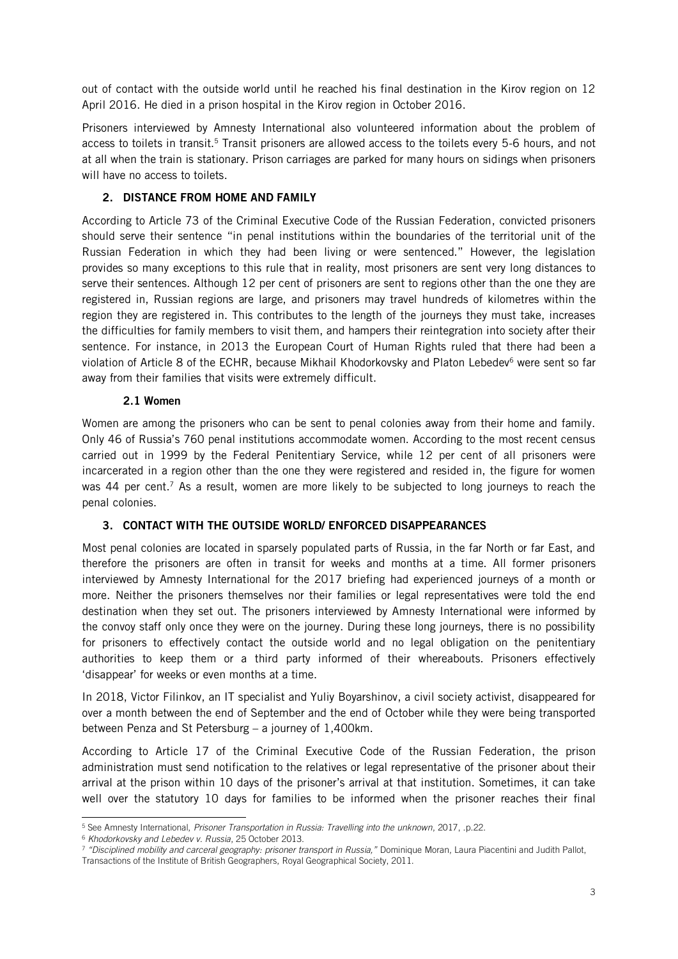out of contact with the outside world until he reached his final destination in the Kirov region on 12 April 2016. He died in a prison hospital in the Kirov region in October 2016.

Prisoners interviewed by Amnesty International also volunteered information about the problem of access to toilets in transit.<sup>5</sup> Transit prisoners are allowed access to the toilets every 5-6 hours, and not at all when the train is stationary. Prison carriages are parked for many hours on sidings when prisoners will have no access to toilets.

## 2. DISTANCE FROM HOME AND FAMILY

According to Article 73 of the Criminal Executive Code of the Russian Federation, convicted prisoners should serve their sentence "in penal institutions within the boundaries of the territorial unit of the Russian Federation in which they had been living or were sentenced." However, the legislation provides so many exceptions to this rule that in reality, most prisoners are sent very long distances to serve their sentences. Although 12 per cent of prisoners are sent to regions other than the one they are registered in, Russian regions are large, and prisoners may travel hundreds of kilometres within the region they are registered in. This contributes to the length of the journeys they must take, increases the difficulties for family members to visit them, and hampers their reintegration into society after their sentence. For instance, in 2013 the European Court of Human Rights ruled that there had been a violation of Article 8 of the ECHR, because Mikhail Khodorkovsky and Platon Lebedev<sup>6</sup> were sent so far away from their families that visits were extremely difficult.

## 2.1 Women

Women are among the prisoners who can be sent to penal colonies away from their home and family. Only 46 of Russia's 760 penal institutions accommodate women. According to the most recent census carried out in 1999 by the Federal Penitentiary Service, while 12 per cent of all prisoners were incarcerated in a region other than the one they were registered and resided in, the figure for women was 44 per cent.<sup>7</sup> As a result, women are more likely to be subjected to long journeys to reach the penal colonies.

# 3. CONTACT WITH THE OUTSIDE WORLD/ ENFORCED DISAPPEARANCES

Most penal colonies are located in sparsely populated parts of Russia, in the far North or far East, and therefore the prisoners are often in transit for weeks and months at a time. All former prisoners interviewed by Amnesty International for the 2017 briefing had experienced journeys of a month or more. Neither the prisoners themselves nor their families or legal representatives were told the end destination when they set out. The prisoners interviewed by Amnesty International were informed by the convoy staff only once they were on the journey. During these long journeys, there is no possibility for prisoners to effectively contact the outside world and no legal obligation on the penitentiary authorities to keep them or a third party informed of their whereabouts. Prisoners effectively 'disappear' for weeks or even months at a time.

In 2018, Victor Filinkov, an IT specialist and Yuliy Boyarshinov, a civil society activist, disappeared for over a month between the end of September and the end of October while they were being transported between Penza and St Petersburg – a journey of 1,400km.

According to Article 17 of the Criminal Executive Code of the Russian Federation, the prison administration must send notification to the relatives or legal representative of the prisoner about their arrival at the prison within 10 days of the prisoner's arrival at that institution. Sometimes, it can take well over the statutory 10 days for families to be informed when the prisoner reaches their final

<sup>-</sup><sup>5</sup> See Amnesty International, *[Prisoner Transportation in Russia: Travelling into the unknown](https://www.amnesty.org/en/documents/eur46/6878/2017/en/)*, 2017, .p.22.

<sup>6</sup> *[Khodorkovsky and Lebedev v. Russia](http://hudoc.echr.coe.int/eng?i=001-122697)*, 25 October 2013.

<sup>7</sup> *"Disciplined mobility and carceral geography: prisoner transport in Russia,"* Dominique Moran, Laura Piacentini and Judith Pallot, Transactions of the Institute of British Geographers, Royal Geographical Society, 2011.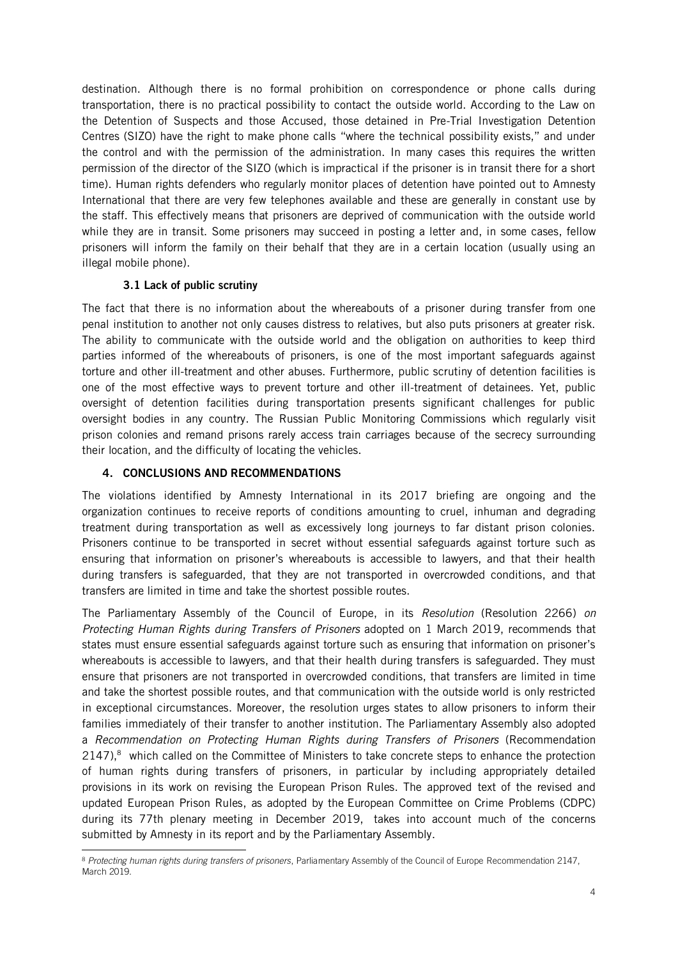destination. Although there is no formal prohibition on correspondence or phone calls during transportation, there is no practical possibility to contact the outside world. According to the Law on the Detention of Suspects and those Accused, those detained in Pre-Trial Investigation Detention Centres (SIZO) have the right to make phone calls "where the technical possibility exists," and under the control and with the permission of the administration. In many cases this requires the written permission of the director of the SIZO (which is impractical if the prisoner is in transit there for a short time). Human rights defenders who regularly monitor places of detention have pointed out to Amnesty International that there are very few telephones available and these are generally in constant use by the staff. This effectively means that prisoners are deprived of communication with the outside world while they are in transit. Some prisoners may succeed in posting a letter and, in some cases, fellow prisoners will inform the family on their behalf that they are in a certain location (usually using an illegal mobile phone).

## 3.1 Lack of public scrutiny

The fact that there is no information about the whereabouts of a prisoner during transfer from one penal institution to another not only causes distress to relatives, but also puts prisoners at greater risk. The ability to communicate with the outside world and the obligation on authorities to keep third parties informed of the whereabouts of prisoners, is one of the most important safeguards against torture and other ill-treatment and other abuses. Furthermore, public scrutiny of detention facilities is one of the most effective ways to prevent torture and other ill-treatment of detainees. Yet, public oversight of detention facilities during transportation presents significant challenges for public oversight bodies in any country. The Russian Public Monitoring Commissions which regularly visit prison colonies and remand prisons rarely access train carriages because of the secrecy surrounding their location, and the difficulty of locating the vehicles.

#### 4. CONCLUSIONS AND RECOMMENDATIONS

The violations identified by Amnesty International in its 2017 briefing are ongoing and the organization continues to receive reports of conditions amounting to cruel, inhuman and degrading treatment during transportation as well as excessively long journeys to far distant prison colonies. Prisoners continue to be transported in secret without essential safeguards against torture such as ensuring that information on prisoner's whereabouts is accessible to lawyers, and that their health during transfers is safeguarded, that they are not transported in overcrowded conditions, and that transfers are limited in time and take the shortest possible routes.

The Parliamentary Assembly of the Council of Europe, in its *Resolution* (Resolution 2266) *on Protecting Human Rights during Transfers of Prisoners* adopted on 1 March 2019, recommends that states must ensure essential safeguards against torture such as ensuring that information on prisoner's whereabouts is accessible to lawyers, and that their health during transfers is safeguarded. They must ensure that prisoners are not transported in overcrowded conditions, that transfers are limited in time and take the shortest possible routes, and that communication with the outside world is only restricted in exceptional circumstances. Moreover, the resolution urges states to allow prisoners to inform their families immediately of their transfer to another institution. The Parliamentary Assembly also adopted a *Recommendation on Protecting Human Rights during Transfers of Prisoners* (Recommendation 2147),<sup>8</sup> which called on the Committee of Ministers to take concrete steps to enhance the protection of human rights during transfers of prisoners, in particular by including appropriately detailed provisions in its work on revising the European Prison Rules. The approved [text of the revised and](https://rm.coe.int/pc-cp-2018-15-e-rev-8-12-12-19/1680994e24)  [updated European Prison Rules,](https://rm.coe.int/pc-cp-2018-15-e-rev-8-12-12-19/1680994e24) as adopted by the [European Committee on Crime Problems \(CDPC\)](https://www.coe.int/en/web/cdpc/home) during its 77th plenary meeting in December 2019, takes into account much of the concerns submitted by Amnesty in its report and by the Parliamentary Assembly.

<sup>-</sup><sup>8</sup> *[Protecting human rights during transfers of prisoners](:%20http:/assembly.coe.int/nw/xml/XRef/Xref-DocDetails-EN.asp?FileID=26465&lang=EN)*, Parliamentary Assembly of the Council of Europe Recommendation 2147, March 2019.